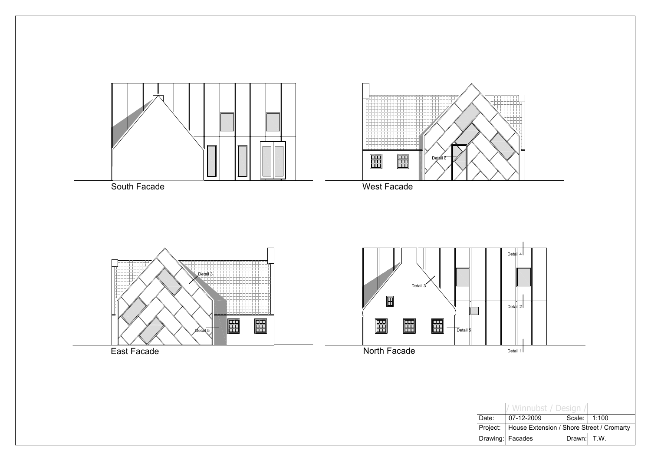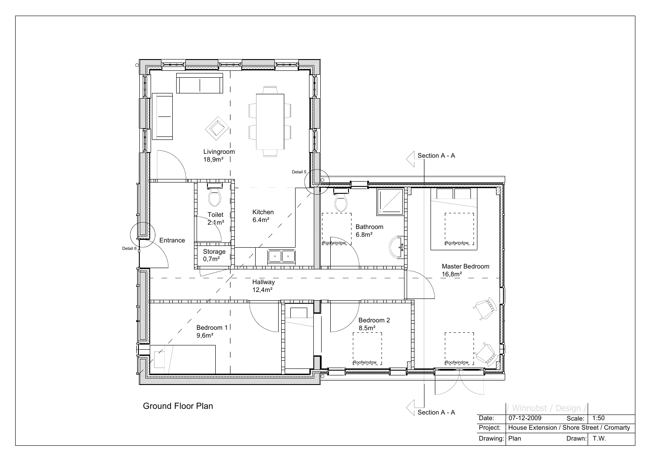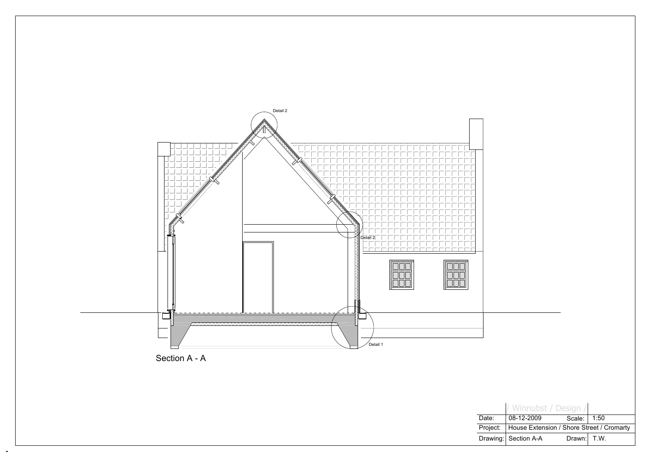

 $\blacksquare$ 



**Drawing** Project: Date:

|      | / Winnubst / Design /                     |        |      |  |
|------|-------------------------------------------|--------|------|--|
| ċ.   | 08-12-2009                                | Scale: | 1:50 |  |
| ect: | House Extension / Shore Street / Cromarty |        |      |  |
|      | ving:  Section A-A                        | Drawn: | T.W. |  |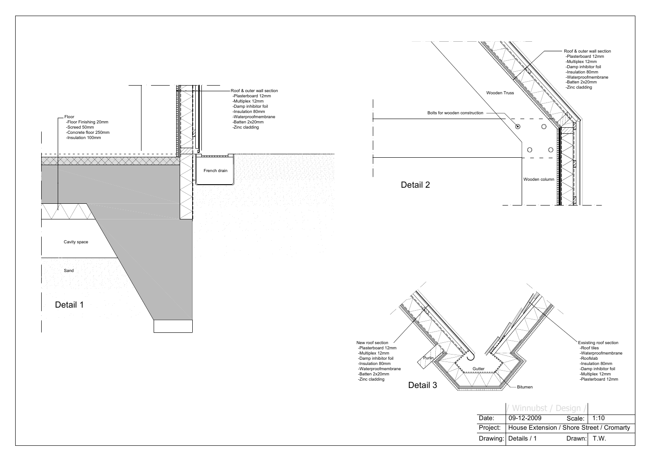